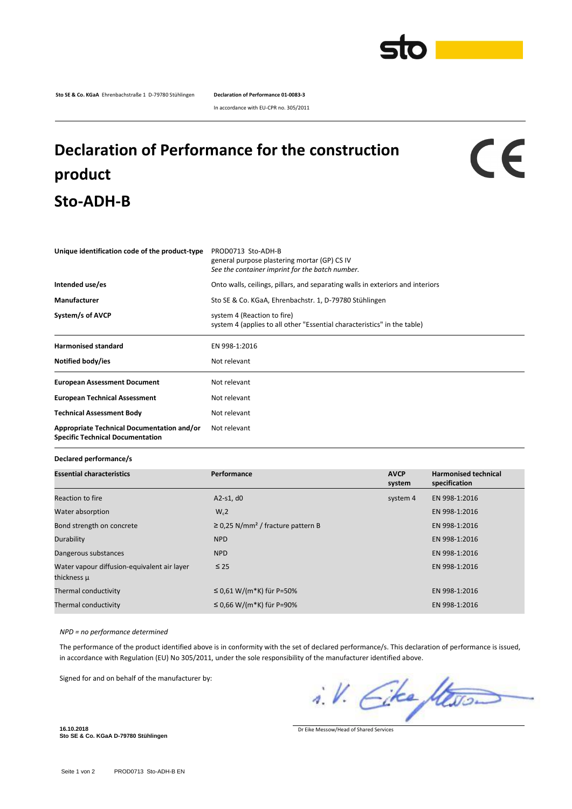

**Sto SE & Co. KGaA** Ehrenbachstraße 1 D-79780 Stühlingen **Declaration of Performance 01-0083-3**

In accordance with EU-CPR no. 305/2011

## **Declaration of Performance for the construction product Sto-ADH-B**

## $c\epsilon$

| Unique identification code of the product-type                                        | PROD0713 Sto-ADH-B<br>general purpose plastering mortar (GP) CS IV<br>See the container imprint for the batch number. |
|---------------------------------------------------------------------------------------|-----------------------------------------------------------------------------------------------------------------------|
| Intended use/es                                                                       | Onto walls, ceilings, pillars, and separating walls in exteriors and interiors                                        |
| Manufacturer                                                                          | Sto SE & Co. KGaA, Ehrenbachstr. 1, D-79780 Stühlingen                                                                |
| System/s of AVCP                                                                      | system 4 (Reaction to fire)<br>system 4 (applies to all other "Essential characteristics" in the table)               |
| <b>Harmonised standard</b>                                                            | EN 998-1:2016                                                                                                         |
| Notified body/ies                                                                     | Not relevant                                                                                                          |
| <b>European Assessment Document</b>                                                   | Not relevant                                                                                                          |
| <b>European Technical Assessment</b>                                                  | Not relevant                                                                                                          |
| <b>Technical Assessment Body</b>                                                      | Not relevant                                                                                                          |
| Appropriate Technical Documentation and/or<br><b>Specific Technical Documentation</b> | Not relevant                                                                                                          |

**Declared performance/s**

| <b>Essential characteristics</b>                           | Performance                                        | <b>AVCP</b><br>system | <b>Harmonised technical</b><br>specification |
|------------------------------------------------------------|----------------------------------------------------|-----------------------|----------------------------------------------|
| Reaction to fire                                           | $A2-S1, d0$                                        | system 4              | EN 998-1:2016                                |
| Water absorption                                           | $W_c2$                                             |                       | EN 998-1:2016                                |
| Bond strength on concrete                                  | $\geq$ 0.25 N/mm <sup>2</sup> / fracture pattern B |                       | EN 998-1:2016                                |
| Durability                                                 | <b>NPD</b>                                         |                       | EN 998-1:2016                                |
| Dangerous substances                                       | <b>NPD</b>                                         |                       | EN 998-1:2016                                |
| Water vapour diffusion-equivalent air layer<br>thickness µ | $\leq 25$                                          |                       | EN 998-1:2016                                |
| Thermal conductivity                                       | ≤ 0,61 W/(m*K) für P=50%                           |                       | EN 998-1:2016                                |
| Thermal conductivity                                       | ≤ 0,66 W/(m*K) für P=90%                           |                       | EN 998-1:2016                                |

*NPD = no performance determined*

The performance of the product identified above is in conformity with the set of declared performance/s. This declaration of performance is issued, in accordance with Regulation (EU) No 305/2011, under the sole responsibility of the manufacturer identified above.

Signed for and on behalf of the manufacturer by:

i.V. Eke Stewar

**16.10.2018 Sto SE & Co. KGaA D-79780 Stühlingen**

Dr Eike Messow/Head of Shared Services